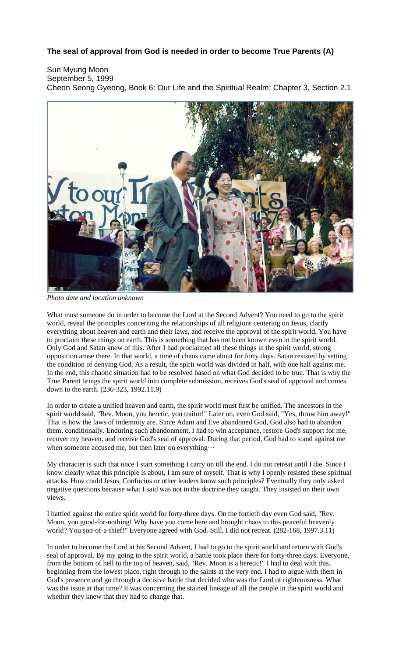## **The seal of approval from God is needed in order to become True Parents (A)**

Sun Myung Moon September 5, 1999 Cheon Seong Gyeong, Book 6: Our Life and the Spiritual Realm; Chapter 3, Section 2.1



*Photo date and location unknown*

What must someone do in order to become the Lord at the Second Advent? You need to go to the spirit world, reveal the principles concerning the relationships of all religions centering on Jesus, clarify everything about heaven and earth and their laws, and receive the approval of the spirit world. You have to proclaim these things on earth. This is something that has not been known even in the spirit world. Only God and Satan knew of this. After I had proclaimed all these things in the spirit world, strong opposition arose there. In that world, a time of chaos came about for forty days. Satan resisted by setting the condition of denying God. As a result, the spirit world was divided in half, with one half against me. In the end, this chaotic situation had to be resolved based on what God decided to be true. That is why the True Parent brings the spirit world into complete submission, receives God's seal of approval and comes down to the earth. (236-323, 1992.11.9)

In order to create a unified heaven and earth, the spirit world must first be unified. The ancestors in the spirit world said, "Rev. Moon, you heretic, you traitor!" Later on, even God said, "Yes, throw him away!" That is how the laws of indemnity are. Since Adam and Eve abandoned God, God also had to abandon them, conditionally. Enduring such abandonment, I had to win acceptance, restore God's support for me, recover my heaven, and receive God's seal of approval. During that period, God had to stand against me when someone accused me, but then later on everything…

My character is such that once I start something I carry on till the end. I do not retreat until I die. Since I know clearly what this principle is about, I am sure of myself. That is why I openly resisted these spiritual attacks. How could Jesus, Confucius or other leaders know such principles? Eventually they only asked negative questions because what I said was not in the doctrine they taught. They insisted on their own views.

I battled against the entire spirit world for forty-three days. On the fortieth day even God said, "Rev. Moon, you good-for-nothing! Why have you come here and brought chaos to this peaceful heavenly world? You son-of-a-thief!" Everyone agreed with God. Still, I did not retreat. (282-168, 1997.3.11)

In order to become the Lord at his Second Advent, I had to go to the spirit world and return with God's seal of approval. By my going to the spirit world, a battle took place there for forty-three days. Everyone, from the bottom of hell to the top of heaven, said, "Rev. Moon is a heretic!" I had to deal with this, beginning from the lowest place, right through to the saints at the very end. I had to argue with them in God's presence and go through a decisive battle that decided who was the Lord of righteousness. What was the issue at that time? It was concerning the stained lineage of all the people in the spirit world and whether they knew that they had to change that.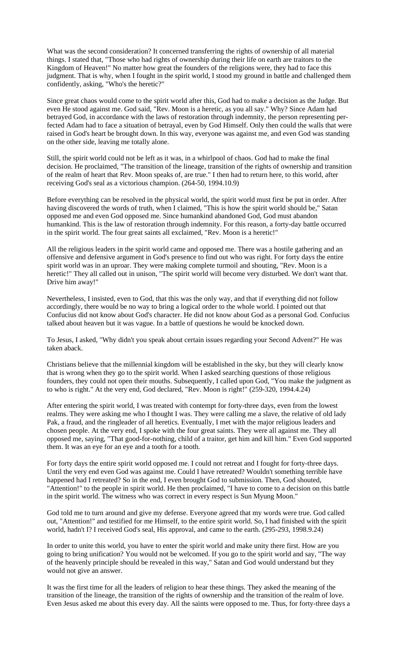What was the second consideration? It concerned transferring the rights of ownership of all material things. I stated that, "Those who had rights of ownership during their life on earth are traitors to the Kingdom of Heaven!" No matter how great the founders of the religions were, they had to face this judgment. That is why, when I fought in the spirit world, I stood my ground in battle and challenged them confidently, asking, "Who's the heretic?"

Since great chaos would come to the spirit world after this, God had to make a decision as the Judge. But even He stood against me. God said, "Rev. Moon is a heretic, as you all say." Why? Since Adam had betrayed God, in accordance with the laws of restoration through indemnity, the person representing perfected Adam had to face a situation of betrayal, even by God Himself. Only then could the walls that were raised in God's heart be brought down. In this way, everyone was against me, and even God was standing on the other side, leaving me totally alone.

Still, the spirit world could not be left as it was, in a whirlpool of chaos. God had to make the final decision. He proclaimed, "The transition of the lineage, transition of the rights of ownership and transition of the realm of heart that Rev. Moon speaks of, are true." I then had to return here, to this world, after receiving God's seal as a victorious champion. (264-50, 1994.10.9)

Before everything can be resolved in the physical world, the spirit world must first be put in order. After having discovered the words of truth, when I claimed, "This is how the spirit world should be," Satan opposed me and even God opposed me. Since humankind abandoned God, God must abandon humankind. This is the law of restoration through indemnity. For this reason, a forty-day battle occurred in the spirit world. The four great saints all exclaimed, "Rev. Moon is a heretic!"

All the religious leaders in the spirit world came and opposed me. There was a hostile gathering and an offensive and defensive argument in God's presence to find out who was right. For forty days the entire spirit world was in an uproar. They were making complete turmoil and shouting, "Rev. Moon is a heretic!" They all called out in unison, "The spirit world will become very disturbed. We don't want that. Drive him away!"

Nevertheless, I insisted, even to God, that this was the only way, and that if everything did not follow accordingly, there would be no way to bring a logical order to the whole world. I pointed out that Confucius did not know about God's character. He did not know about God as a personal God. Confucius talked about heaven but it was vague. In a battle of questions he would be knocked down.

To Jesus, I asked, "Why didn't you speak about certain issues regarding your Second Advent?" He was taken aback.

Christians believe that the millennial kingdom will be established in the sky, but they will clearly know that is wrong when they go to the spirit world. When I asked searching questions of those religious founders, they could not open their mouths. Subsequently, I called upon God, "You make the judgment as to who is right." At the very end, God declared, "Rev. Moon is right!" (259-320, 1994.4.24)

After entering the spirit world, I was treated with contempt for forty-three days, even from the lowest realms. They were asking me who I thought I was. They were calling me a slave, the relative of old lady Pak, a fraud, and the ringleader of all heretics. Eventually, I met with the major religious leaders and chosen people. At the very end, I spoke with the four great saints. They were all against me. They all opposed me, saying, "That good-for-nothing, child of a traitor, get him and kill him." Even God supported them. It was an eye for an eye and a tooth for a tooth.

For forty days the entire spirit world opposed me. I could not retreat and I fought for forty-three days. Until the very end even God was against me. Could I have retreated? Wouldn't something terrible have happened had I retreated? So in the end, I even brought God to submission. Then, God shouted, "Attention!" to the people in spirit world. He then proclaimed, "I have to come to a decision on this battle in the spirit world. The witness who was correct in every respect is Sun Myung Moon."

God told me to turn around and give my defense. Everyone agreed that my words were true. God called out, "Attention!" and testified for me Himself, to the entire spirit world. So, I had finished with the spirit world, hadn't I? I received God's seal, His approval, and came to the earth. (295-293, 1998.9.24)

In order to unite this world, you have to enter the spirit world and make unity there first. How are you going to bring unification? You would not be welcomed. If you go to the spirit world and say, "The way of the heavenly principle should be revealed in this way," Satan and God would understand but they would not give an answer.

It was the first time for all the leaders of religion to hear these things. They asked the meaning of the transition of the lineage, the transition of the rights of ownership and the transition of the realm of love. Even Jesus asked me about this every day. All the saints were opposed to me. Thus, for forty-three days a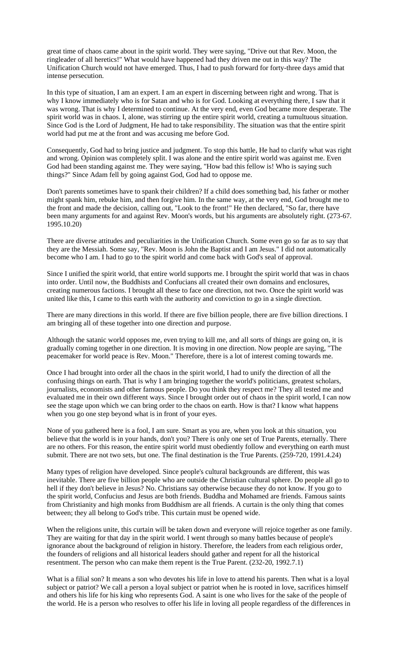great time of chaos came about in the spirit world. They were saying, "Drive out that Rev. Moon, the ringleader of all heretics!" What would have happened had they driven me out in this way? The Unification Church would not have emerged. Thus, I had to push forward for forty-three days amid that intense persecution.

In this type of situation, I am an expert. I am an expert in discerning between right and wrong. That is why I know immediately who is for Satan and who is for God. Looking at everything there, I saw that it was wrong. That is why I determined to continue. At the very end, even God became more desperate. The spirit world was in chaos. I, alone, was stirring up the entire spirit world, creating a tumultuous situation. Since God is the Lord of Judgment, He had to take responsibility. The situation was that the entire spirit world had put me at the front and was accusing me before God.

Consequently, God had to bring justice and judgment. To stop this battle, He had to clarify what was right and wrong. Opinion was completely split. I was alone and the entire spirit world was against me. Even God had been standing against me. They were saying, "How bad this fellow is! Who is saying such things?" Since Adam fell by going against God, God had to oppose me.

Don't parents sometimes have to spank their children? If a child does something bad, his father or mother might spank him, rebuke him, and then forgive him. In the same way, at the very end, God brought me to the front and made the decision, calling out, "Look to the front!" He then declared, "So far, there have been many arguments for and against Rev. Moon's words, but his arguments are absolutely right. (273-67. 1995.10.20)

There are diverse attitudes and peculiarities in the Unification Church. Some even go so far as to say that they are the Messiah. Some say, "Rev. Moon is John the Baptist and I am Jesus." I did not automatically become who I am. I had to go to the spirit world and come back with God's seal of approval.

Since I unified the spirit world, that entire world supports me. I brought the spirit world that was in chaos into order. Until now, the Buddhists and Confucians all created their own domains and enclosures, creating numerous factions. I brought all these to face one direction, not two. Once the spirit world was united like this, I came to this earth with the authority and conviction to go in a single direction.

There are many directions in this world. If there are five billion people, there are five billion directions. I am bringing all of these together into one direction and purpose.

Although the satanic world opposes me, even trying to kill me, and all sorts of things are going on, it is gradually coming together in one direction. It is moving in one direction. Now people are saying, "The peacemaker for world peace is Rev. Moon." Therefore, there is a lot of interest coming towards me.

Once I had brought into order all the chaos in the spirit world, I had to unify the direction of all the confusing things on earth. That is why I am bringing together the world's politicians, greatest scholars, journalists, economists and other famous people. Do you think they respect me? They all tested me and evaluated me in their own different ways. Since I brought order out of chaos in the spirit world, I can now see the stage upon which we can bring order to the chaos on earth. How is that? I know what happens when you go one step beyond what is in front of your eyes.

None of you gathered here is a fool, I am sure. Smart as you are, when you look at this situation, you believe that the world is in your hands, don't you? There is only one set of True Parents, eternally. There are no others. For this reason, the entire spirit world must obediently follow and everything on earth must submit. There are not two sets, but one. The final destination is the True Parents. (259-720, 1991.4.24)

Many types of religion have developed. Since people's cultural backgrounds are different, this was inevitable. There are five billion people who are outside the Christian cultural sphere. Do people all go to hell if they don't believe in Jesus? No. Christians say otherwise because they do not know. If you go to the spirit world, Confucius and Jesus are both friends. Buddha and Mohamed are friends. Famous saints from Christianity and high monks from Buddhism are all friends. A curtain is the only thing that comes between; they all belong to God's tribe. This curtain must be opened wide.

When the religions unite, this curtain will be taken down and everyone will rejoice together as one family. They are waiting for that day in the spirit world. I went through so many battles because of people's ignorance about the background of religion in history. Therefore, the leaders from each religious order, the founders of religions and all historical leaders should gather and repent for all the historical resentment. The person who can make them repent is the True Parent. (232-20, 1992.7.1)

What is a filial son? It means a son who devotes his life in love to attend his parents. Then what is a loyal subject or patriot? We call a person a loyal subject or patriot when he is rooted in love, sacrifices himself and others his life for his king who represents God. A saint is one who lives for the sake of the people of the world. He is a person who resolves to offer his life in loving all people regardless of the differences in